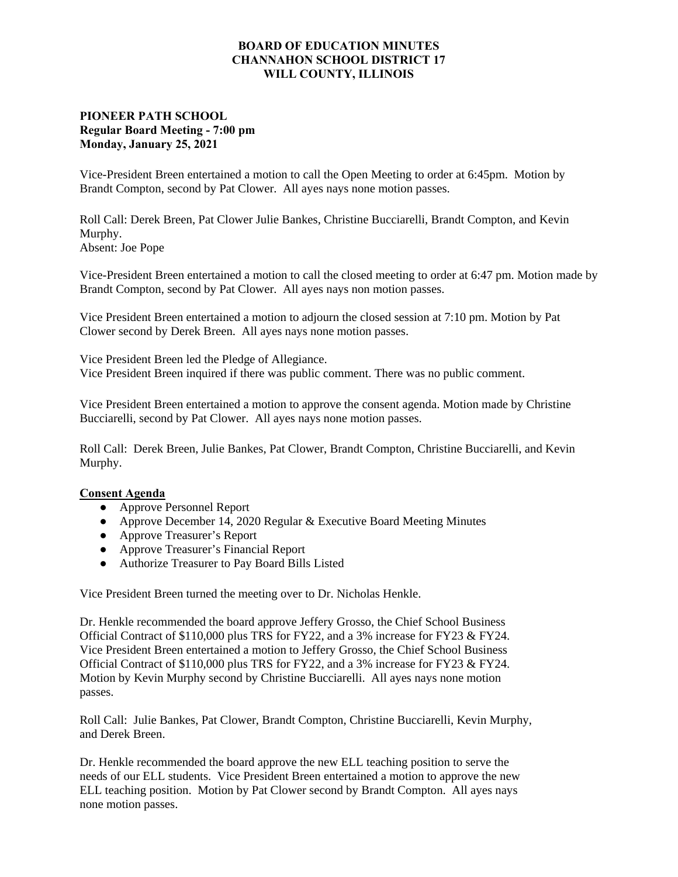## **BOARD OF EDUCATION MINUTES CHANNAHON SCHOOL DISTRICT 17 WILL COUNTY, ILLINOIS**

## **PIONEER PATH SCHOOL Regular Board Meeting - 7:00 pm Monday, January 25, 2021**

Vice-President Breen entertained a motion to call the Open Meeting to order at 6:45pm. Motion by Brandt Compton, second by Pat Clower. All ayes nays none motion passes.

Roll Call: Derek Breen, Pat Clower Julie Bankes, Christine Bucciarelli, Brandt Compton, and Kevin Murphy. Absent: Joe Pope

Vice-President Breen entertained a motion to call the closed meeting to order at 6:47 pm. Motion made by Brandt Compton, second by Pat Clower. All ayes nays non motion passes.

Vice President Breen entertained a motion to adjourn the closed session at 7:10 pm. Motion by Pat Clower second by Derek Breen. All ayes nays none motion passes.

Vice President Breen led the Pledge of Allegiance. Vice President Breen inquired if there was public comment. There was no public comment.

Vice President Breen entertained a motion to approve the consent agenda. Motion made by Christine Bucciarelli, second by Pat Clower. All ayes nays none motion passes.

Roll Call: Derek Breen, Julie Bankes, Pat Clower, Brandt Compton, Christine Bucciarelli, and Kevin Murphy.

## **Consent Agenda**

- **●** Approve Personnel Report
- **●** Approve December 14, 2020 Regular & Executive Board Meeting Minutes
- **●** Approve Treasurer's Report
- **●** Approve Treasurer's Financial Report
- **●** Authorize Treasurer to Pay Board Bills Listed

Vice President Breen turned the meeting over to Dr. Nicholas Henkle.

Dr. Henkle recommended the board approve Jeffery Grosso, the Chief School Business Official Contract of \$110,000 plus TRS for FY22, and a 3% increase for FY23 & FY24. Vice President Breen entertained a motion to Jeffery Grosso, the Chief School Business Official Contract of \$110,000 plus TRS for FY22, and a 3% increase for FY23 & FY24. Motion by Kevin Murphy second by Christine Bucciarelli. All ayes nays none motion passes.

Roll Call: Julie Bankes, Pat Clower, Brandt Compton, Christine Bucciarelli, Kevin Murphy, and Derek Breen.

Dr. Henkle recommended the board approve the new ELL teaching position to serve the needs of our ELL students. Vice President Breen entertained a motion to approve the new ELL teaching position. Motion by Pat Clower second by Brandt Compton. All ayes nays none motion passes.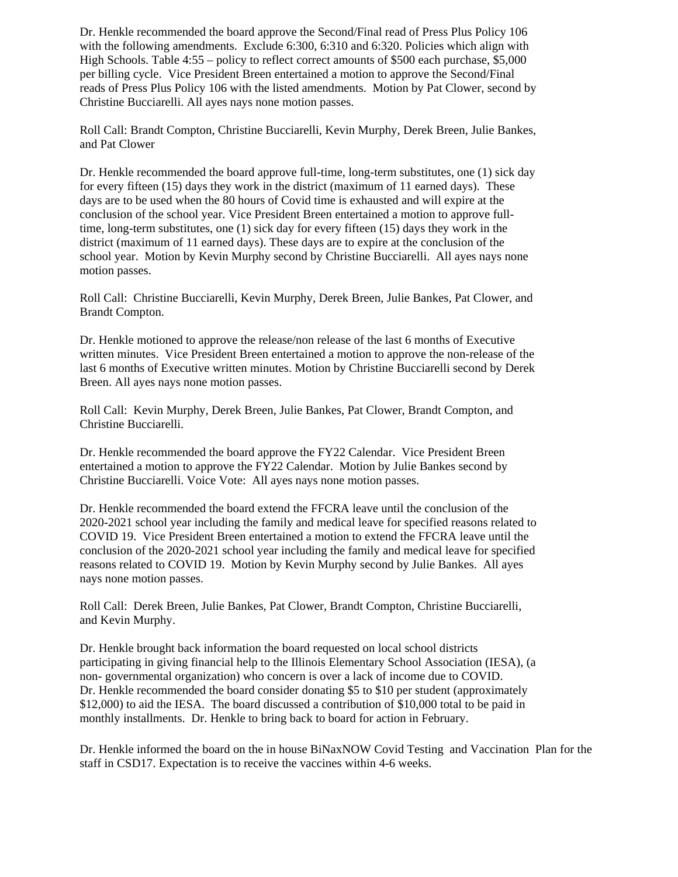Dr. Henkle recommended the board approve the Second/Final read of Press Plus Policy 106 with the following amendments. Exclude 6:300, 6:310 and 6:320. Policies which align with High Schools. Table 4:55 – policy to reflect correct amounts of \$500 each purchase, \$5,000 per billing cycle. Vice President Breen entertained a motion to approve the Second/Final reads of Press Plus Policy 106 with the listed amendments. Motion by Pat Clower, second by Christine Bucciarelli. All ayes nays none motion passes.

Roll Call: Brandt Compton, Christine Bucciarelli, Kevin Murphy, Derek Breen, Julie Bankes, and Pat Clower

Dr. Henkle recommended the board approve full-time, long-term substitutes, one (1) sick day for every fifteen (15) days they work in the district (maximum of 11 earned days). These days are to be used when the 80 hours of Covid time is exhausted and will expire at the conclusion of the school year. Vice President Breen entertained a motion to approve fulltime, long-term substitutes, one (1) sick day for every fifteen (15) days they work in the district (maximum of 11 earned days). These days are to expire at the conclusion of the school year. Motion by Kevin Murphy second by Christine Bucciarelli. All ayes nays none motion passes.

Roll Call: Christine Bucciarelli, Kevin Murphy, Derek Breen, Julie Bankes, Pat Clower, and Brandt Compton.

Dr. Henkle motioned to approve the release/non release of the last 6 months of Executive written minutes. Vice President Breen entertained a motion to approve the non-release of the last 6 months of Executive written minutes. Motion by Christine Bucciarelli second by Derek Breen. All ayes nays none motion passes.

Roll Call: Kevin Murphy, Derek Breen, Julie Bankes, Pat Clower, Brandt Compton, and Christine Bucciarelli.

Dr. Henkle recommended the board approve the FY22 Calendar. Vice President Breen entertained a motion to approve the FY22 Calendar. Motion by Julie Bankes second by Christine Bucciarelli. Voice Vote: All ayes nays none motion passes.

Dr. Henkle recommended the board extend the FFCRA leave until the conclusion of the 2020-2021 school year including the family and medical leave for specified reasons related to COVID 19. Vice President Breen entertained a motion to extend the FFCRA leave until the conclusion of the 2020-2021 school year including the family and medical leave for specified reasons related to COVID 19. Motion by Kevin Murphy second by Julie Bankes. All ayes nays none motion passes.

Roll Call: Derek Breen, Julie Bankes, Pat Clower, Brandt Compton, Christine Bucciarelli, and Kevin Murphy.

Dr. Henkle brought back information the board requested on local school districts participating in giving financial help to the Illinois Elementary School Association (IESA), (a non- governmental organization) who concern is over a lack of income due to COVID. Dr. Henkle recommended the board consider donating \$5 to \$10 per student (approximately \$12,000) to aid the IESA. The board discussed a contribution of \$10,000 total to be paid in monthly installments. Dr. Henkle to bring back to board for action in February.

Dr. Henkle informed the board on the in house BiNaxNOW Covid Testing and Vaccination Plan for the staff in CSD17. Expectation is to receive the vaccines within 4-6 weeks.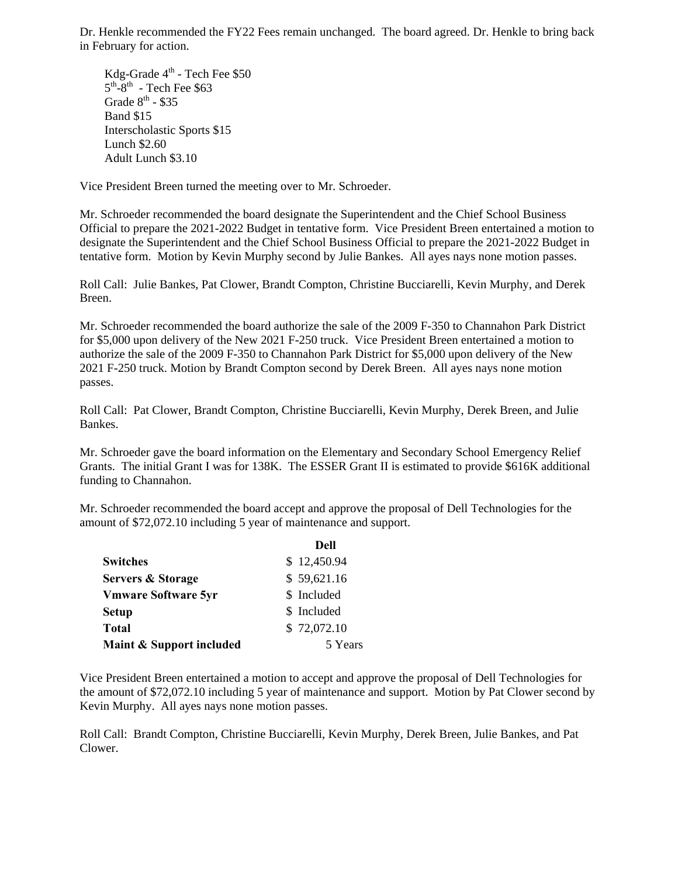Dr. Henkle recommended the FY22 Fees remain unchanged. The board agreed. Dr. Henkle to bring back in February for action.

Kdg-Grade 4<sup>th</sup> - Tech Fee \$50  $5<sup>th</sup> - 8<sup>th</sup>$  - Tech Fee \$63 Grade  $8^{th}$  - \$35 Band \$15 Interscholastic Sports \$15 Lunch \$2.60 Adult Lunch \$3.10

Vice President Breen turned the meeting over to Mr. Schroeder.

Mr. Schroeder recommended the board designate the Superintendent and the Chief School Business Official to prepare the 2021-2022 Budget in tentative form. Vice President Breen entertained a motion to designate the Superintendent and the Chief School Business Official to prepare the 2021-2022 Budget in tentative form. Motion by Kevin Murphy second by Julie Bankes. All ayes nays none motion passes.

Roll Call: Julie Bankes, Pat Clower, Brandt Compton, Christine Bucciarelli, Kevin Murphy, and Derek Breen.

Mr. Schroeder recommended the board authorize the sale of the 2009 F-350 to Channahon Park District for \$5,000 upon delivery of the New 2021 F-250 truck. Vice President Breen entertained a motion to authorize the sale of the 2009 F-350 to Channahon Park District for \$5,000 upon delivery of the New 2021 F-250 truck. Motion by Brandt Compton second by Derek Breen. All ayes nays none motion passes.

Roll Call: Pat Clower, Brandt Compton, Christine Bucciarelli, Kevin Murphy, Derek Breen, and Julie Bankes.

Mr. Schroeder gave the board information on the Elementary and Secondary School Emergency Relief Grants. The initial Grant I was for 138K. The ESSER Grant II is estimated to provide \$616K additional funding to Channahon.

Mr. Schroeder recommended the board accept and approve the proposal of Dell Technologies for the amount of \$72,072.10 including 5 year of maintenance and support.

|                            | Dell        |  |
|----------------------------|-------------|--|
| <b>Switches</b>            | \$12,450.94 |  |
| Servers & Storage          | \$59,621.16 |  |
| <b>Vmware Software 5yr</b> | \$ Included |  |
| <b>Setup</b>               | \$ Included |  |
| <b>Total</b>               | \$72,072.10 |  |
| Maint & Support included   | 5 Years     |  |

Vice President Breen entertained a motion to accept and approve the proposal of Dell Technologies for the amount of \$72,072.10 including 5 year of maintenance and support. Motion by Pat Clower second by Kevin Murphy. All ayes nays none motion passes.

Roll Call: Brandt Compton, Christine Bucciarelli, Kevin Murphy, Derek Breen, Julie Bankes, and Pat Clower.